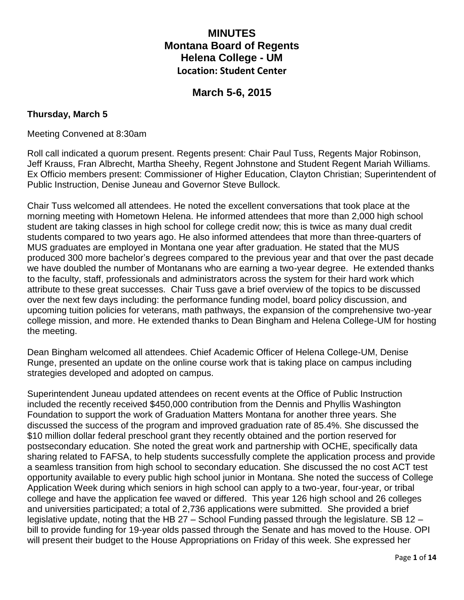# **MINUTES Montana Board of Regents Helena College - UM Location: Student Center**

# **March 5-6, 2015**

## **Thursday, March 5**

#### Meeting Convened at 8:30am

Roll call indicated a quorum present. Regents present: Chair Paul Tuss, Regents Major Robinson, Jeff Krauss, Fran Albrecht, Martha Sheehy, Regent Johnstone and Student Regent Mariah Williams. Ex Officio members present: Commissioner of Higher Education, Clayton Christian; Superintendent of Public Instruction, Denise Juneau and Governor Steve Bullock.

Chair Tuss welcomed all attendees. He noted the excellent conversations that took place at the morning meeting with Hometown Helena. He informed attendees that more than 2,000 high school student are taking classes in high school for college credit now; this is twice as many dual credit students compared to two years ago. He also informed attendees that more than three-quarters of MUS graduates are employed in Montana one year after graduation. He stated that the MUS produced 300 more bachelor's degrees compared to the previous year and that over the past decade we have doubled the number of Montanans who are earning a two-year degree. He extended thanks to the faculty, staff, professionals and administrators across the system for their hard work which attribute to these great successes. Chair Tuss gave a brief overview of the topics to be discussed over the next few days including: the performance funding model, board policy discussion, and upcoming tuition policies for veterans, math pathways, the expansion of the comprehensive two-year college mission, and more. He extended thanks to Dean Bingham and Helena College-UM for hosting the meeting.

Dean Bingham welcomed all attendees. Chief Academic Officer of Helena College-UM, Denise Runge, presented an update on the online course work that is taking place on campus including strategies developed and adopted on campus.

Superintendent Juneau updated attendees on recent events at the Office of Public Instruction included the recently received \$450,000 contribution from the Dennis and Phyllis Washington Foundation to support the work of Graduation Matters Montana for another three years. She discussed the success of the program and improved graduation rate of 85.4%. She discussed the \$10 million dollar federal preschool grant they recently obtained and the portion reserved for postsecondary education. She noted the great work and partnership with OCHE, specifically data sharing related to FAFSA, to help students successfully complete the application process and provide a seamless transition from high school to secondary education. She discussed the no cost ACT test opportunity available to every public high school junior in Montana. She noted the success of College Application Week during which seniors in high school can apply to a two-year, four-year, or tribal college and have the application fee waved or differed. This year 126 high school and 26 colleges and universities participated; a total of 2,736 applications were submitted. She provided a brief legislative update, noting that the HB 27 – School Funding passed through the legislature. SB 12 – bill to provide funding for 19-year olds passed through the Senate and has moved to the House. OPI will present their budget to the House Appropriations on Friday of this week. She expressed her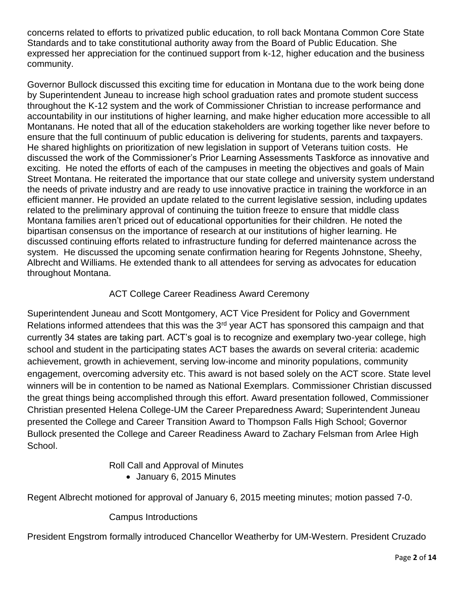concerns related to efforts to privatized public education, to roll back Montana Common Core State Standards and to take constitutional authority away from the Board of Public Education. She expressed her appreciation for the continued support from k-12, higher education and the business community.

Governor Bullock discussed this exciting time for education in Montana due to the work being done by Superintendent Juneau to increase high school graduation rates and promote student success throughout the K-12 system and the work of Commissioner Christian to increase performance and accountability in our institutions of higher learning, and make higher education more accessible to all Montanans. He noted that all of the education stakeholders are working together like never before to ensure that the full continuum of public education is delivering for students, parents and taxpayers. He shared highlights on prioritization of new legislation in support of Veterans tuition costs. He discussed the work of the Commissioner's Prior Learning Assessments Taskforce as innovative and exciting. He noted the efforts of each of the campuses in meeting the objectives and goals of Main Street Montana. He reiterated the importance that our state college and university system understand the needs of private industry and are ready to use innovative practice in training the workforce in an efficient manner. He provided an update related to the current legislative session, including updates related to the preliminary approval of continuing the tuition freeze to ensure that middle class Montana families aren't priced out of educational opportunities for their children. He noted the bipartisan consensus on the importance of research at our institutions of higher learning. He discussed continuing efforts related to infrastructure funding for deferred maintenance across the system. He discussed the upcoming senate confirmation hearing for Regents Johnstone, Sheehy, Albrecht and Williams. He extended thank to all attendees for serving as advocates for education throughout Montana.

# ACT College Career Readiness Award Ceremony

Superintendent Juneau and Scott Montgomery, ACT Vice President for Policy and Government Relations informed attendees that this was the 3<sup>rd</sup> year ACT has sponsored this campaign and that currently 34 states are taking part. ACT's goal is to recognize and exemplary two-year college, high school and student in the participating states ACT bases the awards on several criteria: academic achievement, growth in achievement, serving low-income and minority populations, community engagement, overcoming adversity etc. This award is not based solely on the ACT score. State level winners will be in contention to be named as National Exemplars. Commissioner Christian discussed the great things being accomplished through this effort. Award presentation followed, Commissioner Christian presented Helena College-UM the Career Preparedness Award; Superintendent Juneau presented the College and Career Transition Award to Thompson Falls High School; Governor Bullock presented the College and Career Readiness Award to Zachary Felsman from Arlee High School.

Roll Call and Approval of Minutes

January 6, 2015 Minutes

Regent Albrecht motioned for approval of January 6, 2015 meeting minutes; motion passed 7-0.

# Campus Introductions

President Engstrom formally introduced Chancellor Weatherby for UM-Western. President Cruzado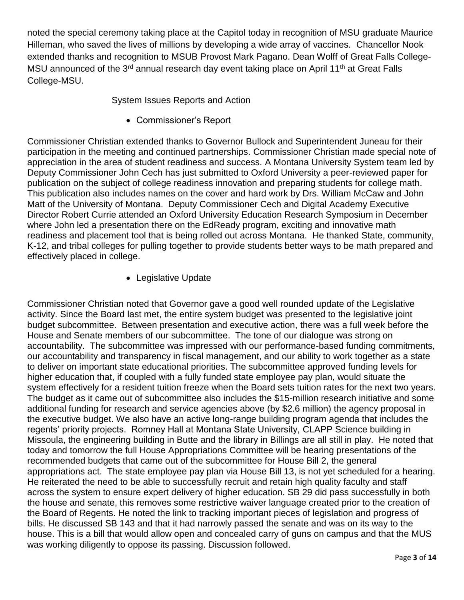noted the special ceremony taking place at the Capitol today in recognition of MSU graduate Maurice Hilleman, who saved the lives of millions by developing a wide array of vaccines. Chancellor Nook extended thanks and recognition to MSUB Provost Mark Pagano. Dean Wolff of Great Falls College-MSU announced of the 3<sup>rd</sup> annual research day event taking place on April 11<sup>th</sup> at Great Falls College-MSU.

System Issues Reports and Action

Commissioner's Report

Commissioner Christian extended thanks to Governor Bullock and Superintendent Juneau for their participation in the meeting and continued partnerships. Commissioner Christian made special note of appreciation in the area of student readiness and success. A Montana University System team led by Deputy Commissioner John Cech has just submitted to Oxford University a peer-reviewed paper for publication on the subject of college readiness innovation and preparing students for college math. This publication also includes names on the cover and hard work by Drs. William McCaw and John Matt of the University of Montana. Deputy Commissioner Cech and Digital Academy Executive Director Robert Currie attended an Oxford University Education Research Symposium in December where John led a presentation there on the EdReady program, exciting and innovative math readiness and placement tool that is being rolled out across Montana. He thanked State, community, K-12, and tribal colleges for pulling together to provide students better ways to be math prepared and effectively placed in college.

• Legislative Update

Commissioner Christian noted that Governor gave a good well rounded update of the Legislative activity. Since the Board last met, the entire system budget was presented to the legislative joint budget subcommittee. Between presentation and executive action, there was a full week before the House and Senate members of our subcommittee. The tone of our dialogue was strong on accountability. The subcommittee was impressed with our performance-based funding commitments, our accountability and transparency in fiscal management, and our ability to work together as a state to deliver on important state educational priorities. The subcommittee approved funding levels for higher education that, if coupled with a fully funded state employee pay plan, would situate the system effectively for a resident tuition freeze when the Board sets tuition rates for the next two years. The budget as it came out of subcommittee also includes the \$15-million research initiative and some additional funding for research and service agencies above (by \$2.6 million) the agency proposal in the executive budget. We also have an active long-range building program agenda that includes the regents' priority projects. Romney Hall at Montana State University, CLAPP Science building in Missoula, the engineering building in Butte and the library in Billings are all still in play. He noted that today and tomorrow the full House Appropriations Committee will be hearing presentations of the recommended budgets that came out of the subcommittee for House Bill 2, the general appropriations act. The state employee pay plan via House Bill 13, is not yet scheduled for a hearing. He reiterated the need to be able to successfully recruit and retain high quality faculty and staff across the system to ensure expert delivery of higher education. SB 29 did pass successfully in both the house and senate, this removes some restrictive waiver language created prior to the creation of the Board of Regents. He noted the link to tracking important pieces of legislation and progress of bills. He discussed SB 143 and that it had narrowly passed the senate and was on its way to the house. This is a bill that would allow open and concealed carry of guns on campus and that the MUS was working diligently to oppose its passing. Discussion followed.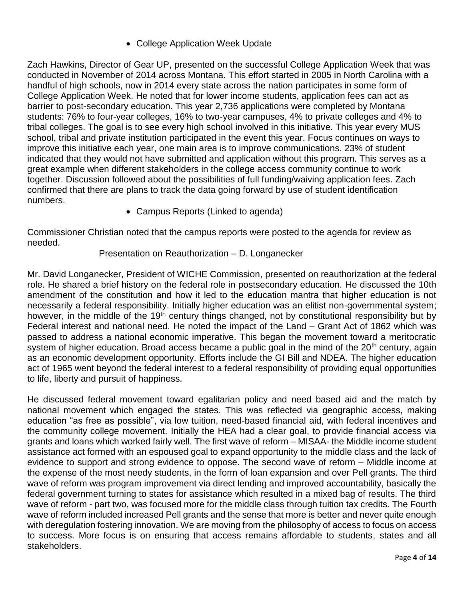• College Application Week Update

Zach Hawkins, Director of Gear UP, presented on the successful College Application Week that was conducted in November of 2014 across Montana. This effort started in 2005 in North Carolina with a handful of high schools, now in 2014 every state across the nation participates in some form of College Application Week. He noted that for lower income students, application fees can act as barrier to post-secondary education. This year 2,736 applications were completed by Montana students: 76% to four-year colleges, 16% to two-year campuses, 4% to private colleges and 4% to tribal colleges. The goal is to see every high school involved in this initiative. This year every MUS school, tribal and private institution participated in the event this year. Focus continues on ways to improve this initiative each year, one main area is to improve communications. 23% of student indicated that they would not have submitted and application without this program. This serves as a great example when different stakeholders in the college access community continue to work together. Discussion followed about the possibilities of full funding/waiving application fees. Zach confirmed that there are plans to track the data going forward by use of student identification numbers.

Campus Reports (Linked to agenda)

Commissioner Christian noted that the campus reports were posted to the agenda for review as needed.

### Presentation on Reauthorization – D. Longanecker

Mr. David Longanecker, President of WICHE Commission, presented on reauthorization at the federal role. He shared a brief history on the federal role in postsecondary education. He discussed the 10th amendment of the constitution and how it led to the education mantra that higher education is not necessarily a federal responsibility. Initially higher education was an elitist non-governmental system; however, in the middle of the 19<sup>th</sup> century things changed, not by constitutional responsibility but by Federal interest and national need. He noted the impact of the Land – Grant Act of 1862 which was passed to address a national economic imperative. This began the movement toward a meritocratic system of higher education. Broad access became a public goal in the mind of the 20<sup>th</sup> century, again as an economic development opportunity. Efforts include the GI Bill and NDEA. The higher education act of 1965 went beyond the federal interest to a federal responsibility of providing equal opportunities to life, liberty and pursuit of happiness.

He discussed federal movement toward egalitarian policy and need based aid and the match by national movement which engaged the states. This was reflected via geographic access, making education "as free as possible", via low tuition, need-based financial aid, with federal incentives and the community college movement. Initially the HEA had a clear goal, to provide financial access via grants and loans which worked fairly well. The first wave of reform – MISAA- the Middle income student assistance act formed with an espoused goal to expand opportunity to the middle class and the lack of evidence to support and strong evidence to oppose. The second wave of reform – Middle income at the expense of the most needy students, in the form of loan expansion and over Pell grants. The third wave of reform was program improvement via direct lending and improved accountability, basically the federal government turning to states for assistance which resulted in a mixed bag of results. The third wave of reform - part two, was focused more for the middle class through tuition tax credits. The Fourth wave of reform included increased Pell grants and the sense that more is better and never quite enough with deregulation fostering innovation. We are moving from the philosophy of access to focus on access to success. More focus is on ensuring that access remains affordable to students, states and all stakeholders.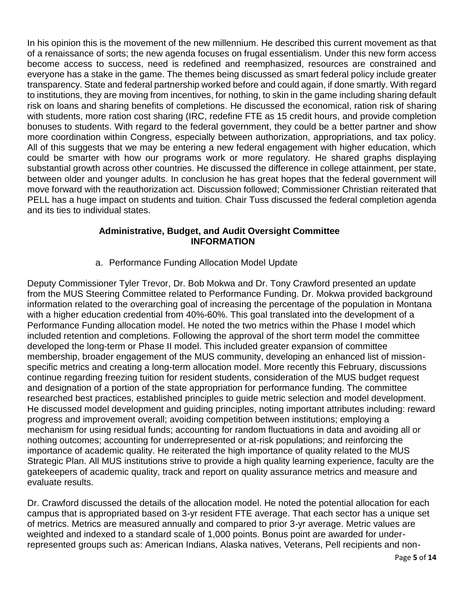In his opinion this is the movement of the new millennium. He described this current movement as that of a renaissance of sorts; the new agenda focuses on frugal essentialism. Under this new form access become access to success, need is redefined and reemphasized, resources are constrained and everyone has a stake in the game. The themes being discussed as smart federal policy include greater transparency. State and federal partnership worked before and could again, if done smartly. With regard to institutions, they are moving from incentives, for nothing, to skin in the game including sharing default risk on loans and sharing benefits of completions. He discussed the economical, ration risk of sharing with students, more ration cost sharing (IRC, redefine FTE as 15 credit hours, and provide completion bonuses to students. With regard to the federal government, they could be a better partner and show more coordination within Congress, especially between authorization, appropriations, and tax policy. All of this suggests that we may be entering a new federal engagement with higher education, which could be smarter with how our programs work or more regulatory. He shared graphs displaying substantial growth across other countries. He discussed the difference in college attainment, per state, between older and younger adults. In conclusion he has great hopes that the federal government will move forward with the reauthorization act. Discussion followed; Commissioner Christian reiterated that PELL has a huge impact on students and tuition. Chair Tuss discussed the federal completion agenda and its ties to individual states.

## **Administrative, Budget, and Audit Oversight Committee INFORMATION**

a. Performance Funding Allocation Model Update

Deputy Commissioner Tyler Trevor, Dr. Bob Mokwa and Dr. Tony Crawford presented an update from the MUS Steering Committee related to Performance Funding. Dr. Mokwa provided background information related to the overarching goal of increasing the percentage of the population in Montana with a higher education credential from 40%-60%. This goal translated into the development of a Performance Funding allocation model. He noted the two metrics within the Phase I model which included retention and completions. Following the approval of the short term model the committee developed the long-term or Phase II model. This included greater expansion of committee membership, broader engagement of the MUS community, developing an enhanced list of missionspecific metrics and creating a long-term allocation model. More recently this February, discussions continue regarding freezing tuition for resident students, consideration of the MUS budget request and designation of a portion of the state appropriation for performance funding. The committee researched best practices, established principles to guide metric selection and model development. He discussed model development and guiding principles, noting important attributes including: reward progress and improvement overall; avoiding competition between institutions; employing a mechanism for using residual funds; accounting for random fluctuations in data and avoiding all or nothing outcomes; accounting for underrepresented or at-risk populations; and reinforcing the importance of academic quality. He reiterated the high importance of quality related to the MUS Strategic Plan. All MUS institutions strive to provide a high quality learning experience, faculty are the gatekeepers of academic quality, track and report on quality assurance metrics and measure and evaluate results.

Dr. Crawford discussed the details of the allocation model. He noted the potential allocation for each campus that is appropriated based on 3-yr resident FTE average. That each sector has a unique set of metrics. Metrics are measured annually and compared to prior 3-yr average. Metric values are weighted and indexed to a standard scale of 1,000 points. Bonus point are awarded for underrepresented groups such as: American Indians, Alaska natives, Veterans, Pell recipients and non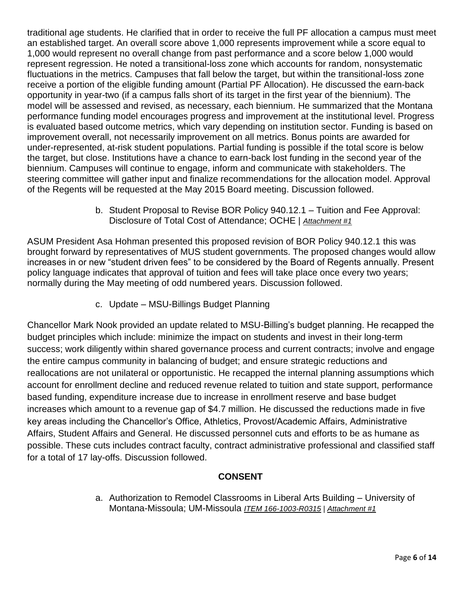traditional age students. He clarified that in order to receive the full PF allocation a campus must meet an established target. An overall score above 1,000 represents improvement while a score equal to 1,000 would represent no overall change from past performance and a score below 1,000 would represent regression. He noted a transitional-loss zone which accounts for random, nonsystematic fluctuations in the metrics. Campuses that fall below the target, but within the transitional-loss zone receive a portion of the eligible funding amount (Partial PF Allocation). He discussed the earn-back opportunity in year-two (if a campus falls short of its target in the first year of the biennium). The model will be assessed and revised, as necessary, each biennium. He summarized that the Montana performance funding model encourages progress and improvement at the institutional level. Progress is evaluated based outcome metrics, which vary depending on institution sector. Funding is based on improvement overall, not necessarily improvement on all metrics. Bonus points are awarded for under-represented, at-risk student populations. Partial funding is possible if the total score is below the target, but close. Institutions have a chance to earn-back lost funding in the second year of the biennium. Campuses will continue to engage, inform and communicate with stakeholders. The steering committee will gather input and finalize recommendations for the allocation model. Approval of the Regents will be requested at the May 2015 Board meeting. Discussion followed.

> b. Student Proposal to Revise BOR Policy 940.12.1 – Tuition and Fee Approval: Disclosure of Total Cost of Attendance; OCHE | *Attachment #1*

ASUM President Asa Hohman presented this proposed revision of BOR Policy 940.12.1 this was brought forward by representatives of MUS student governments. The proposed changes would allow increases in or new "student driven fees" to be considered by the Board of Regents annually. Present policy language indicates that approval of tuition and fees will take place once every two years; normally during the May meeting of odd numbered years. Discussion followed.

c. Update – MSU-Billings Budget Planning

Chancellor Mark Nook provided an update related to MSU-Billing's budget planning. He recapped the budget principles which include: minimize the impact on students and invest in their long-term success; work diligently within shared governance process and current contracts; involve and engage the entire campus community in balancing of budget; and ensure strategic reductions and reallocations are not unilateral or opportunistic. He recapped the internal planning assumptions which account for enrollment decline and reduced revenue related to tuition and state support, performance based funding, expenditure increase due to increase in enrollment reserve and base budget increases which amount to a revenue gap of \$4.7 million. He discussed the reductions made in five key areas including the Chancellor's Office, Athletics, Provost/Academic Affairs, Administrative Affairs, Student Affairs and General. He discussed personnel cuts and efforts to be as humane as possible. These cuts includes contract faculty, contract administrative professional and classified staff for a total of 17 lay-offs. Discussion followed.

# **CONSENT**

a. Authorization to Remodel Classrooms in Liberal Arts Building – University of Montana-Missoula; UM-Missoula *ITEM 166-1003-R0315 | Attachment #1*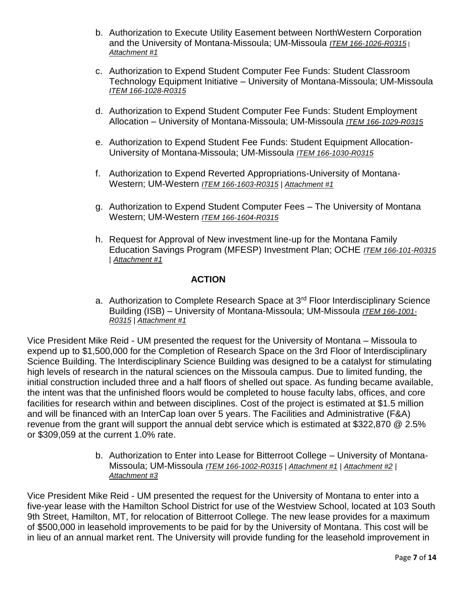- b. Authorization to Execute Utility Easement between NorthWestern Corporation and the University of Montana-Missoula; UM-Missoula *ITEM 166-1026-R0315* <sup>|</sup> *Attachment #1*
- c. Authorization to Expend Student Computer Fee Funds: Student Classroom Technology Equipment Initiative – University of Montana-Missoula; UM-Missoula *ITEM 166-1028-R0315*
- d. Authorization to Expend Student Computer Fee Funds: Student Employment Allocation – University of Montana-Missoula; UM-Missoula *ITEM 166-1029-R0315*
- e. Authorization to Expend Student Fee Funds: Student Equipment Allocation-University of Montana-Missoula; UM-Missoula *ITEM 166-1030-R0315*
- f. Authorization to Expend Reverted Appropriations-University of Montana-Western; UM-Western *ITEM 166-1603-R0315* | *Attachment #1*
- g. Authorization to Expend Student Computer Fees The University of Montana Western; UM-Western *ITEM 166-1604-R0315*
- h. Request for Approval of New investment line-up for the Montana Family Education Savings Program (MFESP) Investment Plan; OCHE *ITEM 166-101-R0315* | *Attachment #1*

## **ACTION**

a. Authorization to Complete Research Space at 3<sup>rd</sup> Floor Interdisciplinary Science Building (ISB) – University of Montana-Missoula; UM-Missoula *ITEM 166-1001- R0315* | *Attachment #1*

Vice President Mike Reid - UM presented the request for the University of Montana – Missoula to expend up to \$1,500,000 for the Completion of Research Space on the 3rd Floor of Interdisciplinary Science Building. The Interdisciplinary Science Building was designed to be a catalyst for stimulating high levels of research in the natural sciences on the Missoula campus. Due to limited funding, the initial construction included three and a half floors of shelled out space. As funding became available, the intent was that the unfinished floors would be completed to house faculty labs, offices, and core facilities for research within and between disciplines. Cost of the project is estimated at \$1.5 million and will be financed with an InterCap loan over 5 years. The Facilities and Administrative (F&A) revenue from the grant will support the annual debt service which is estimated at \$322,870 @ 2.5% or \$309,059 at the current 1.0% rate.

> b. Authorization to Enter into Lease for Bitterroot College – University of Montana-Missoula; UM-Missoula *ITEM 166-1002-R0315 | Attachment #1 | Attachment #2 | Attachment #3*

Vice President Mike Reid - UM presented the request for the University of Montana to enter into a five-year lease with the Hamilton School District for use of the Westview School, located at 103 South 9th Street, Hamilton, MT, for relocation of Bitterroot College. The new lease provides for a maximum of \$500,000 in leasehold improvements to be paid for by the University of Montana. This cost will be in lieu of an annual market rent. The University will provide funding for the leasehold improvement in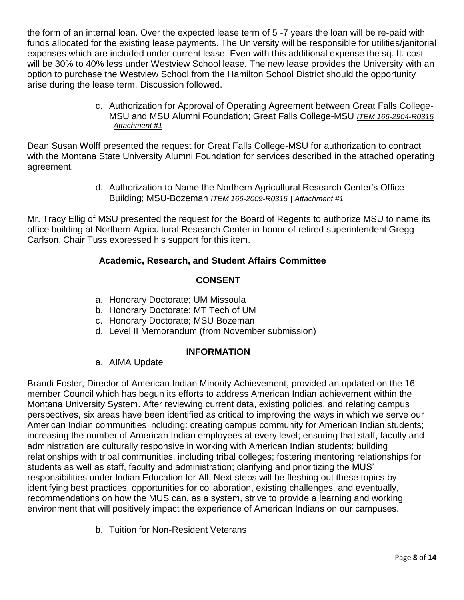the form of an internal loan. Over the expected lease term of 5 -7 years the loan will be re-paid with funds allocated for the existing lease payments. The University will be responsible for utilities/janitorial expenses which are included under current lease. Even with this additional expense the sq. ft. cost will be 30% to 40% less under Westview School lease. The new lease provides the University with an option to purchase the Westview School from the Hamilton School District should the opportunity arise during the lease term. Discussion followed.

> c. Authorization for Approval of Operating Agreement between Great Falls College-MSU and MSU Alumni Foundation; Great Falls College-MSU *ITEM 166-2904-R0315* | *Attachment #1*

Dean Susan Wolff presented the request for Great Falls College-MSU for authorization to contract with the Montana State University Alumni Foundation for services described in the attached operating agreement.

> d. Authorization to Name the Northern Agricultural Research Center's Office Building; MSU-Bozeman *ITEM 166-2009-R0315* | *Attachment #1*

Mr. Tracy Ellig of MSU presented the request for the Board of Regents to authorize MSU to name its office building at Northern Agricultural Research Center in honor of retired superintendent Gregg Carlson. Chair Tuss expressed his support for this item.

# **Academic, Research, and Student Affairs Committee**

# **CONSENT**

- a. Honorary Doctorate; UM Missoula
- b. Honorary Doctorate; MT Tech of UM
- c. Honorary Doctorate; MSU Bozeman
- d. Level II Memorandum (from November submission)

### **INFORMATION**

### a. AIMA Update

Brandi Foster, Director of American Indian Minority Achievement, provided an updated on the 16 member Council which has begun its efforts to address American Indian achievement within the Montana University System. After reviewing current data, existing policies, and relating campus perspectives, six areas have been identified as critical to improving the ways in which we serve our American Indian communities including: creating campus community for American Indian students; increasing the number of American Indian employees at every level; ensuring that staff, faculty and administration are culturally responsive in working with American Indian students; building relationships with tribal communities, including tribal colleges; fostering mentoring relationships for students as well as staff, faculty and administration; clarifying and prioritizing the MUS' responsibilities under Indian Education for All. Next steps will be fleshing out these topics by identifying best practices, opportunities for collaboration, existing challenges, and eventually, recommendations on how the MUS can, as a system, strive to provide a learning and working environment that will positively impact the experience of American Indians on our campuses.

b. Tuition for Non-Resident Veterans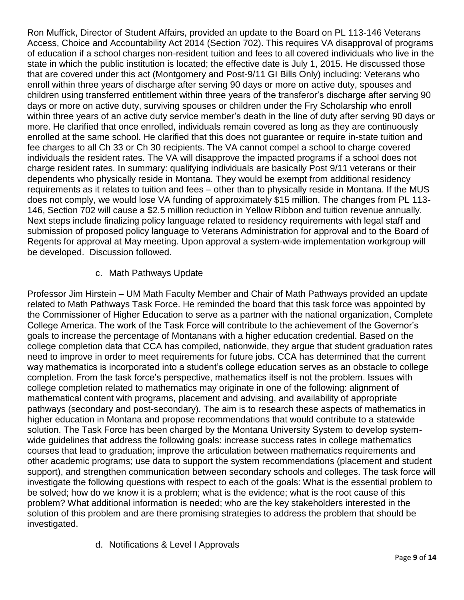Ron Muffick, Director of Student Affairs, provided an update to the Board on PL 113-146 Veterans Access, Choice and Accountability Act 2014 (Section 702). This requires VA disapproval of programs of education if a school charges non-resident tuition and fees to all covered individuals who live in the state in which the public institution is located; the effective date is July 1, 2015. He discussed those that are covered under this act (Montgomery and Post-9/11 GI Bills Only) including: Veterans who enroll within three years of discharge after serving 90 days or more on active duty, spouses and children using transferred entitlement within three years of the transferor's discharge after serving 90 days or more on active duty, surviving spouses or children under the Fry Scholarship who enroll within three years of an active duty service member's death in the line of duty after serving 90 days or more. He clarified that once enrolled, individuals remain covered as long as they are continuously enrolled at the same school. He clarified that this does not guarantee or require in-state tuition and fee charges to all Ch 33 or Ch 30 recipients. The VA cannot compel a school to charge covered individuals the resident rates. The VA will disapprove the impacted programs if a school does not charge resident rates. In summary: qualifying individuals are basically Post 9/11 veterans or their dependents who physically reside in Montana. They would be exempt from additional residency requirements as it relates to tuition and fees – other than to physically reside in Montana. If the MUS does not comply, we would lose VA funding of approximately \$15 million. The changes from PL 113- 146, Section 702 will cause a \$2.5 million reduction in Yellow Ribbon and tuition revenue annually. Next steps include finalizing policy language related to residency requirements with legal staff and submission of proposed policy language to Veterans Administration for approval and to the Board of Regents for approval at May meeting. Upon approval a system-wide implementation workgroup will be developed. Discussion followed.

## c. Math Pathways Update

Professor Jim Hirstein – UM Math Faculty Member and Chair of Math Pathways provided an update related to Math Pathways Task Force. He reminded the board that this task force was appointed by the Commissioner of Higher Education to serve as a partner with the national organization, Complete College America. The work of the Task Force will contribute to the achievement of the Governor's goals to increase the percentage of Montanans with a higher education credential. Based on the college completion data that CCA has compiled, nationwide, they argue that student graduation rates need to improve in order to meet requirements for future jobs. CCA has determined that the current way mathematics is incorporated into a student's college education serves as an obstacle to college completion. From the task force's perspective, mathematics itself is not the problem. Issues with college completion related to mathematics may originate in one of the following: alignment of mathematical content with programs, placement and advising, and availability of appropriate pathways (secondary and post-secondary). The aim is to research these aspects of mathematics in higher education in Montana and propose recommendations that would contribute to a statewide solution. The Task Force has been charged by the Montana University System to develop systemwide guidelines that address the following goals: increase success rates in college mathematics courses that lead to graduation; improve the articulation between mathematics requirements and other academic programs; use data to support the system recommendations (placement and student support), and strengthen communication between secondary schools and colleges. The task force will investigate the following questions with respect to each of the goals: What is the essential problem to be solved; how do we know it is a problem; what is the evidence; what is the root cause of this problem? What additional information is needed; who are the key stakeholders interested in the solution of this problem and are there promising strategies to address the problem that should be investigated.

### d. Notifications & Level I Approvals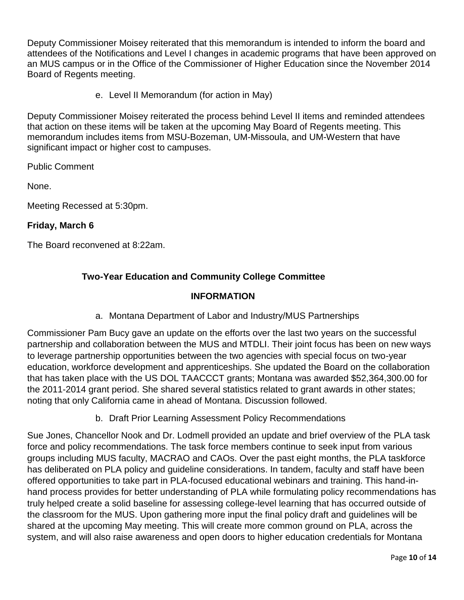Deputy Commissioner Moisey reiterated that this memorandum is intended to inform the board and attendees of the Notifications and Level I changes in academic programs that have been approved on an MUS campus or in the Office of the Commissioner of Higher Education since the November 2014 Board of Regents meeting.

e. Level II Memorandum (for action in May)

Deputy Commissioner Moisey reiterated the process behind Level II items and reminded attendees that action on these items will be taken at the upcoming May Board of Regents meeting. This memorandum includes items from MSU-Bozeman, UM-Missoula, and UM-Western that have significant impact or higher cost to campuses.

Public Comment

None.

Meeting Recessed at 5:30pm.

## **Friday, March 6**

The Board reconvened at 8:22am.

# **Two-Year Education and Community College Committee**

## **INFORMATION**

a. Montana Department of Labor and Industry/MUS Partnerships

Commissioner Pam Bucy gave an update on the efforts over the last two years on the successful partnership and collaboration between the MUS and MTDLI. Their joint focus has been on new ways to leverage partnership opportunities between the two agencies with special focus on two-year education, workforce development and apprenticeships. She updated the Board on the collaboration that has taken place with the US DOL TAACCCT grants; Montana was awarded \$52,364,300.00 for the 2011-2014 grant period. She shared several statistics related to grant awards in other states; noting that only California came in ahead of Montana. Discussion followed.

b. Draft Prior Learning Assessment Policy Recommendations

Sue Jones, Chancellor Nook and Dr. Lodmell provided an update and brief overview of the PLA task force and policy recommendations. The task force members continue to seek input from various groups including MUS faculty, MACRAO and CAOs. Over the past eight months, the PLA taskforce has deliberated on PLA policy and guideline considerations. In tandem, faculty and staff have been offered opportunities to take part in PLA-focused educational webinars and training. This hand-inhand process provides for better understanding of PLA while formulating policy recommendations has truly helped create a solid baseline for assessing college-level learning that has occurred outside of the classroom for the MUS. Upon gathering more input the final policy draft and guidelines will be shared at the upcoming May meeting. This will create more common ground on PLA, across the system, and will also raise awareness and open doors to higher education credentials for Montana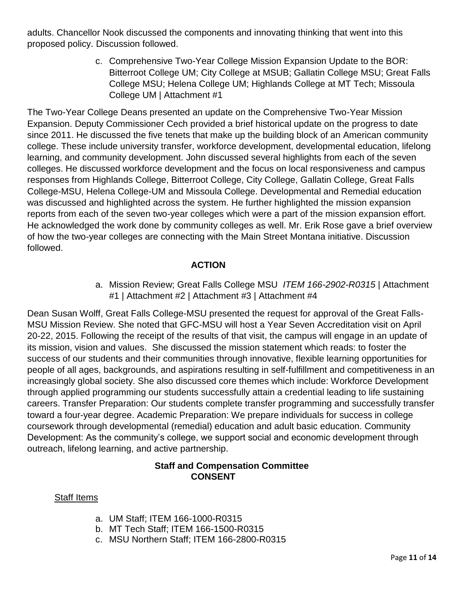adults. Chancellor Nook discussed the components and innovating thinking that went into this proposed policy. Discussion followed.

> c. Comprehensive Two-Year College Mission Expansion Update to the BOR: Bitterroot College UM; City College at MSUB; Gallatin College MSU; Great Falls College MSU; Helena College UM; Highlands College at MT Tech; Missoula College UM | Attachment #1

The Two-Year College Deans presented an update on the Comprehensive Two-Year Mission Expansion. Deputy Commissioner Cech provided a brief historical update on the progress to date since 2011. He discussed the five tenets that make up the building block of an American community college. These include university transfer, workforce development, developmental education, lifelong learning, and community development. John discussed several highlights from each of the seven colleges. He discussed workforce development and the focus on local responsiveness and campus responses from Highlands College, Bitterroot College, City College, Gallatin College, Great Falls College-MSU, Helena College-UM and Missoula College. Developmental and Remedial education was discussed and highlighted across the system. He further highlighted the mission expansion reports from each of the seven two-year colleges which were a part of the mission expansion effort. He acknowledged the work done by community colleges as well. Mr. Erik Rose gave a brief overview of how the two-year colleges are connecting with the Main Street Montana initiative. Discussion followed.

# **ACTION**

a. Mission Review; Great Falls College MSU *ITEM 166-2902-R0315* | Attachment #1 | Attachment #2 | Attachment #3 | Attachment #4

Dean Susan Wolff, Great Falls College-MSU presented the request for approval of the Great Falls-MSU Mission Review. She noted that GFC-MSU will host a Year Seven Accreditation visit on April 20-22, 2015. Following the receipt of the results of that visit, the campus will engage in an update of its mission, vision and values. She discussed the mission statement which reads: to foster the success of our students and their communities through innovative, flexible learning opportunities for people of all ages, backgrounds, and aspirations resulting in self-fulfillment and competitiveness in an increasingly global society. She also discussed core themes which include: Workforce Development through applied programming our students successfully attain a credential leading to life sustaining careers. Transfer Preparation: Our students complete transfer programming and successfully transfer toward a four-year degree. Academic Preparation: We prepare individuals for success in college coursework through developmental (remedial) education and adult basic education. Community Development: As the community's college, we support social and economic development through outreach, lifelong learning, and active partnership.

### **Staff and Compensation Committee CONSENT**

### Staff Items

- a. UM Staff; ITEM 166-1000-R0315
- b. MT Tech Staff; ITEM 166-1500-R0315
- c. MSU Northern Staff; ITEM 166-2800-R0315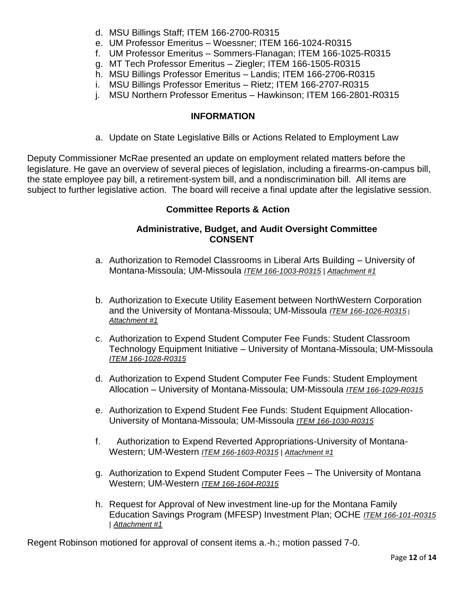- d. MSU Billings Staff; ITEM 166-2700-R0315
- e. UM Professor Emeritus Woessner; ITEM 166-1024-R0315
- f. UM Professor Emeritus Sommers-Flanagan; ITEM 166-1025-R0315
- g. MT Tech Professor Emeritus Ziegler; ITEM 166-1505-R0315
- h. MSU Billings Professor Emeritus Landis; ITEM 166-2706-R0315
- i. MSU Billings Professor Emeritus Rietz; ITEM 166-2707-R0315
- j. MSU Northern Professor Emeritus Hawkinson; ITEM 166-2801-R0315

# **INFORMATION**

a. Update on State Legislative Bills or Actions Related to Employment Law

Deputy Commissioner McRae presented an update on employment related matters before the legislature. He gave an overview of several pieces of legislation, including a firearms-on-campus bill, the state employee pay bill, a retirement-system bill, and a nondiscrimination bill. All items are subject to further legislative action. The board will receive a final update after the legislative session.

# **Committee Reports & Action**

## **Administrative, Budget, and Audit Oversight Committee CONSENT**

- a. Authorization to Remodel Classrooms in Liberal Arts Building University of Montana-Missoula; UM-Missoula *ITEM 166-1003-R0315 | Attachment #1*
- b. Authorization to Execute Utility Easement between NorthWestern Corporation and the University of Montana-Missoula; UM-Missoula *ITEM 166-1026-R0315* <sup>|</sup> *Attachment #1*
- c. Authorization to Expend Student Computer Fee Funds: Student Classroom Technology Equipment Initiative – University of Montana-Missoula; UM-Missoula *ITEM 166-1028-R0315*
- d. Authorization to Expend Student Computer Fee Funds: Student Employment Allocation – University of Montana-Missoula; UM-Missoula *ITEM 166-1029-R0315*
- e. Authorization to Expend Student Fee Funds: Student Equipment Allocation-University of Montana-Missoula; UM-Missoula *ITEM 166-1030-R0315*
- f. Authorization to Expend Reverted Appropriations-University of Montana-Western; UM-Western *ITEM 166-1603-R0315* | *Attachment #1*
- g. Authorization to Expend Student Computer Fees The University of Montana Western; UM-Western *ITEM 166-1604-R0315*
- h. Request for Approval of New investment line-up for the Montana Family Education Savings Program (MFESP) Investment Plan; OCHE *ITEM 166-101-R0315* | *Attachment #1*

Regent Robinson motioned for approval of consent items a.-h.; motion passed 7-0.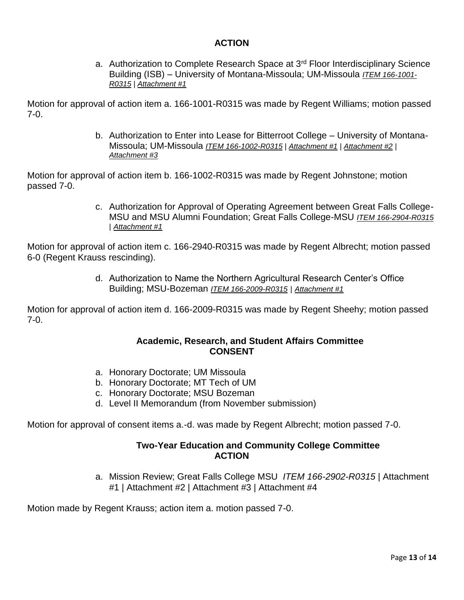### **ACTION**

a. Authorization to Complete Research Space at 3<sup>rd</sup> Floor Interdisciplinary Science Building (ISB) – University of Montana-Missoula; UM-Missoula *ITEM 166-1001- R0315* | *Attachment #1*

Motion for approval of action item a. 166-1001-R0315 was made by Regent Williams; motion passed 7-0.

> b. Authorization to Enter into Lease for Bitterroot College – University of Montana-Missoula; UM-Missoula *ITEM 166-1002-R0315 | Attachment #1 | Attachment #2 | Attachment #3*

Motion for approval of action item b. 166-1002-R0315 was made by Regent Johnstone; motion passed 7-0.

> c. Authorization for Approval of Operating Agreement between Great Falls College-MSU and MSU Alumni Foundation; Great Falls College-MSU *ITEM 166-2904-R0315* | *Attachment #1*

Motion for approval of action item c. 166-2940-R0315 was made by Regent Albrecht; motion passed 6-0 (Regent Krauss rescinding).

> d. Authorization to Name the Northern Agricultural Research Center's Office Building; MSU-Bozeman *ITEM 166-2009-R0315* | *Attachment #1*

Motion for approval of action item d. 166-2009-R0315 was made by Regent Sheehy; motion passed 7-0.

### **Academic, Research, and Student Affairs Committee CONSENT**

- a. Honorary Doctorate; UM Missoula
- b. Honorary Doctorate; MT Tech of UM
- c. Honorary Doctorate; MSU Bozeman
- d. Level II Memorandum (from November submission)

Motion for approval of consent items a.-d. was made by Regent Albrecht; motion passed 7-0.

## **Two-Year Education and Community College Committee ACTION**

a. Mission Review; Great Falls College MSU *ITEM 166-2902-R0315* | Attachment #1 | Attachment #2 | Attachment #3 | Attachment #4

Motion made by Regent Krauss; action item a. motion passed 7-0.